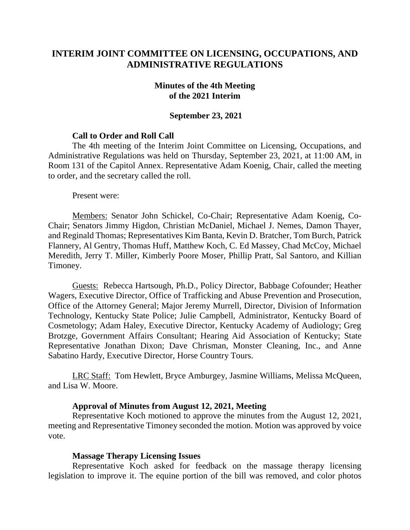# **INTERIM JOINT COMMITTEE ON LICENSING, OCCUPATIONS, AND ADMINISTRATIVE REGULATIONS**

#### **Minutes of the 4th Meeting of the 2021 Interim**

#### **September 23, 2021**

### **Call to Order and Roll Call**

The 4th meeting of the Interim Joint Committee on Licensing, Occupations, and Administrative Regulations was held on Thursday, September 23, 2021, at 11:00 AM, in Room 131 of the Capitol Annex. Representative Adam Koenig, Chair, called the meeting to order, and the secretary called the roll.

Present were:

Members: Senator John Schickel, Co-Chair; Representative Adam Koenig, Co-Chair; Senators Jimmy Higdon, Christian McDaniel, Michael J. Nemes, Damon Thayer, and Reginald Thomas; Representatives Kim Banta, Kevin D. Bratcher, Tom Burch, Patrick Flannery, Al Gentry, Thomas Huff, Matthew Koch, C. Ed Massey, Chad McCoy, Michael Meredith, Jerry T. Miller, Kimberly Poore Moser, Phillip Pratt, Sal Santoro, and Killian Timoney.

Guests: Rebecca Hartsough, Ph.D., Policy Director, Babbage Cofounder; Heather Wagers, Executive Director, Office of Trafficking and Abuse Prevention and Prosecution, Office of the Attorney General; Major Jeremy Murrell, Director, Division of Information Technology, Kentucky State Police; Julie Campbell, Administrator, Kentucky Board of Cosmetology; Adam Haley, Executive Director, Kentucky Academy of Audiology; Greg Brotzge, Government Affairs Consultant; Hearing Aid Association of Kentucky; State Representative Jonathan Dixon; Dave Chrisman, Monster Cleaning, Inc., and Anne Sabatino Hardy, Executive Director, Horse Country Tours.

LRC Staff: Tom Hewlett, Bryce Amburgey, Jasmine Williams, Melissa McQueen, and Lisa W. Moore.

#### **Approval of Minutes from August 12, 2021, Meeting**

Representative Koch motioned to approve the minutes from the August 12, 2021, meeting and Representative Timoney seconded the motion. Motion was approved by voice vote.

#### **Massage Therapy Licensing Issues**

Representative Koch asked for feedback on the massage therapy licensing legislation to improve it. The equine portion of the bill was removed, and color photos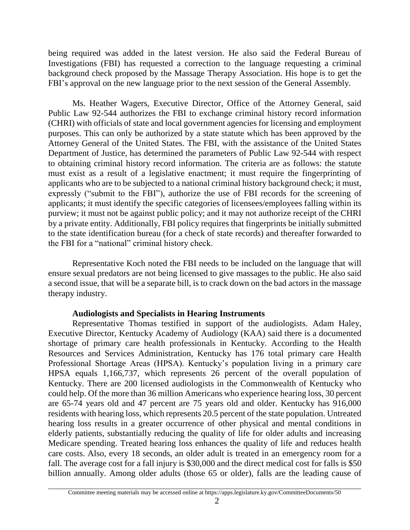being required was added in the latest version. He also said the Federal Bureau of Investigations (FBI) has requested a correction to the language requesting a criminal background check proposed by the Massage Therapy Association. His hope is to get the FBI's approval on the new language prior to the next session of the General Assembly.

Ms. Heather Wagers, Executive Director, Office of the Attorney General, said Public Law 92-544 authorizes the FBI to exchange criminal history record information (CHRI) with officials of state and local government agencies for licensing and employment purposes. This can only be authorized by a state statute which has been approved by the Attorney General of the United States. The FBI, with the assistance of the United States Department of Justice, has determined the parameters of Public Law 92-544 with respect to obtaining criminal history record information. The criteria are as follows: the statute must exist as a result of a legislative enactment; it must require the fingerprinting of applicants who are to be subjected to a national criminal history background check; it must, expressly ("submit to the FBI"), authorize the use of FBI records for the screening of applicants; it must identify the specific categories of licensees/employees falling within its purview; it must not be against public policy; and it may not authorize receipt of the CHRI by a private entity. Additionally, FBI policy requires that fingerprints be initially submitted to the state identification bureau (for a check of state records) and thereafter forwarded to the FBI for a "national" criminal history check.

Representative Koch noted the FBI needs to be included on the language that will ensure sexual predators are not being licensed to give massages to the public. He also said a second issue, that will be a separate bill, is to crack down on the bad actors in the massage therapy industry.

## **Audiologists and Specialists in Hearing Instruments**

Representative Thomas testified in support of the audiologists. Adam Haley, Executive Director, Kentucky Academy of Audiology (KAA) said there is a documented shortage of primary care health professionals in Kentucky. According to the Health Resources and Services Administration, Kentucky has 176 total primary care Health Professional Shortage Areas (HPSA). Kentucky's population living in a primary care HPSA equals 1,166,737, which represents 26 percent of the overall population of Kentucky. There are 200 licensed audiologists in the Commonwealth of Kentucky who could help. Of the more than 36 million Americans who experience hearing loss, 30 percent are 65-74 years old and 47 percent are 75 years old and older. Kentucky has 916,000 residents with hearing loss, which represents 20.5 percent of the state population. Untreated hearing loss results in a greater occurrence of other physical and mental conditions in elderly patients, substantially reducing the quality of life for older adults and increasing Medicare spending. Treated hearing loss enhances the quality of life and reduces health care costs. Also, every 18 seconds, an older adult is treated in an emergency room for a fall. The average cost for a fall injury is \$30,000 and the direct medical cost for falls is \$50 billion annually. Among older adults (those 65 or older), falls are the leading cause of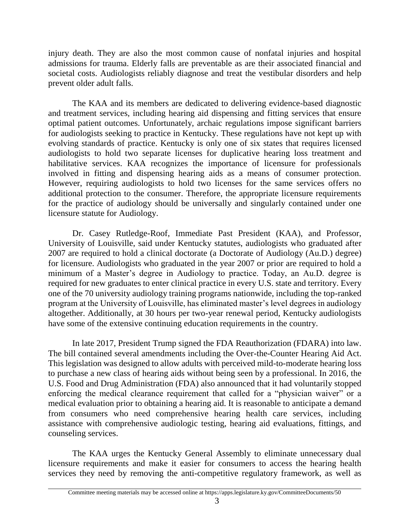injury death. They are also the most common cause of nonfatal injuries and hospital admissions for trauma. Elderly falls are preventable as are their associated financial and societal costs. Audiologists reliably diagnose and treat the vestibular disorders and help prevent older adult falls.

The KAA and its members are dedicated to delivering evidence-based diagnostic and treatment services, including hearing aid dispensing and fitting services that ensure optimal patient outcomes. Unfortunately, archaic regulations impose significant barriers for audiologists seeking to practice in Kentucky. These regulations have not kept up with evolving standards of practice. Kentucky is only one of six states that requires licensed audiologists to hold two separate licenses for duplicative hearing loss treatment and habilitative services. KAA recognizes the importance of licensure for professionals involved in fitting and dispensing hearing aids as a means of consumer protection. However, requiring audiologists to hold two licenses for the same services offers no additional protection to the consumer. Therefore, the appropriate licensure requirements for the practice of audiology should be universally and singularly contained under one licensure statute for Audiology.

Dr. Casey Rutledge-Roof, Immediate Past President (KAA), and Professor, University of Louisville, said under Kentucky statutes, audiologists who graduated after 2007 are required to hold a clinical doctorate (a Doctorate of Audiology (Au.D.) degree) for licensure. Audiologists who graduated in the year 2007 or prior are required to hold a minimum of a Master's degree in Audiology to practice. Today, an Au.D. degree is required for new graduates to enter clinical practice in every U.S. state and territory. Every one of the 70 university audiology training programs nationwide, including the top-ranked program at the University of Louisville, has eliminated master's level degrees in audiology altogether. Additionally, at 30 hours per two-year renewal period, Kentucky audiologists have some of the extensive continuing education requirements in the country.

In late 2017, President Trump signed the FDA Reauthorization (FDARA) into law. The bill contained several amendments including the Over-the-Counter Hearing Aid Act. This legislation was designed to allow adults with perceived mild-to-moderate hearing loss to purchase a new class of hearing aids without being seen by a professional. In 2016, the U.S. Food and Drug Administration (FDA) also announced that it had voluntarily stopped enforcing the medical clearance requirement that called for a "physician waiver" or a medical evaluation prior to obtaining a hearing aid. It is reasonable to anticipate a demand from consumers who need comprehensive hearing health care services, including assistance with comprehensive audiologic testing, hearing aid evaluations, fittings, and counseling services.

The KAA urges the Kentucky General Assembly to eliminate unnecessary dual licensure requirements and make it easier for consumers to access the hearing health services they need by removing the anti-competitive regulatory framework, as well as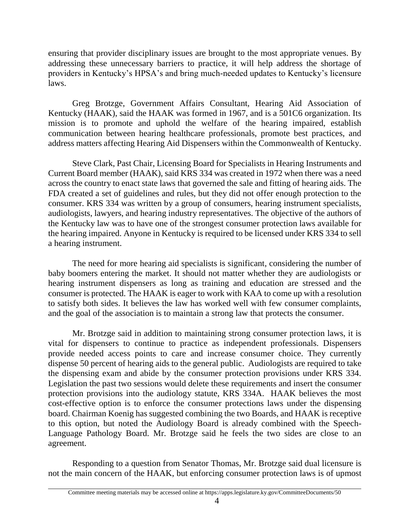ensuring that provider disciplinary issues are brought to the most appropriate venues. By addressing these unnecessary barriers to practice, it will help address the shortage of providers in Kentucky's HPSA's and bring much-needed updates to Kentucky's licensure laws.

Greg Brotzge, Government Affairs Consultant, Hearing Aid Association of Kentucky (HAAK), said the HAAK was formed in 1967, and is a 501C6 organization. Its mission is to promote and uphold the welfare of the hearing impaired, establish communication between hearing healthcare professionals, promote best practices, and address matters affecting Hearing Aid Dispensers within the Commonwealth of Kentucky.

Steve Clark, Past Chair, Licensing Board for Specialists in Hearing Instruments and Current Board member (HAAK), said KRS 334 was created in 1972 when there was a need across the country to enact state laws that governed the sale and fitting of hearing aids. The FDA created a set of guidelines and rules, but they did not offer enough protection to the consumer. KRS 334 was written by a group of consumers, hearing instrument specialists, audiologists, lawyers, and hearing industry representatives. The objective of the authors of the Kentucky law was to have one of the strongest consumer protection laws available for the hearing impaired. Anyone in Kentucky is required to be licensed under KRS 334 to sell a hearing instrument.

The need for more hearing aid specialists is significant, considering the number of baby boomers entering the market. It should not matter whether they are audiologists or hearing instrument dispensers as long as training and education are stressed and the consumer is protected. The HAAK is eager to work with KAA to come up with a resolution to satisfy both sides. It believes the law has worked well with few consumer complaints, and the goal of the association is to maintain a strong law that protects the consumer.

Mr. Brotzge said in addition to maintaining strong consumer protection laws, it is vital for dispensers to continue to practice as independent professionals. Dispensers provide needed access points to care and increase consumer choice. They currently dispense 50 percent of hearing aids to the general public. Audiologists are required to take the dispensing exam and abide by the consumer protection provisions under KRS 334. Legislation the past two sessions would delete these requirements and insert the consumer protection provisions into the audiology statute, KRS 334A. HAAK believes the most cost-effective option is to enforce the consumer protections laws under the dispensing board. Chairman Koenig has suggested combining the two Boards, and HAAK is receptive to this option, but noted the Audiology Board is already combined with the Speech-Language Pathology Board. Mr. Brotzge said he feels the two sides are close to an agreement.

Responding to a question from Senator Thomas, Mr. Brotzge said dual licensure is not the main concern of the HAAK, but enforcing consumer protection laws is of upmost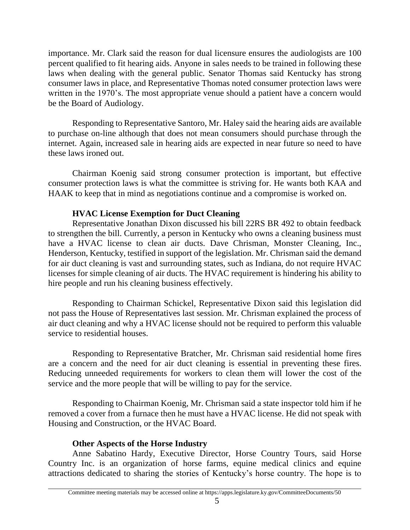importance. Mr. Clark said the reason for dual licensure ensures the audiologists are 100 percent qualified to fit hearing aids. Anyone in sales needs to be trained in following these laws when dealing with the general public. Senator Thomas said Kentucky has strong consumer laws in place, and Representative Thomas noted consumer protection laws were written in the 1970's. The most appropriate venue should a patient have a concern would be the Board of Audiology.

Responding to Representative Santoro, Mr. Haley said the hearing aids are available to purchase on-line although that does not mean consumers should purchase through the internet. Again, increased sale in hearing aids are expected in near future so need to have these laws ironed out.

Chairman Koenig said strong consumer protection is important, but effective consumer protection laws is what the committee is striving for. He wants both KAA and HAAK to keep that in mind as negotiations continue and a compromise is worked on.

## **HVAC License Exemption for Duct Cleaning**

Representative Jonathan Dixon discussed his bill 22RS BR 492 to obtain feedback to strengthen the bill. Currently, a person in Kentucky who owns a cleaning business must have a HVAC license to clean air ducts. Dave Chrisman, Monster Cleaning, Inc., Henderson, Kentucky, testified in support of the legislation. Mr. Chrisman said the demand for air duct cleaning is vast and surrounding states, such as Indiana, do not require HVAC licenses for simple cleaning of air ducts. The HVAC requirement is hindering his ability to hire people and run his cleaning business effectively.

Responding to Chairman Schickel, Representative Dixon said this legislation did not pass the House of Representatives last session. Mr. Chrisman explained the process of air duct cleaning and why a HVAC license should not be required to perform this valuable service to residential houses.

Responding to Representative Bratcher, Mr. Chrisman said residential home fires are a concern and the need for air duct cleaning is essential in preventing these fires. Reducing unneeded requirements for workers to clean them will lower the cost of the service and the more people that will be willing to pay for the service.

Responding to Chairman Koenig, Mr. Chrisman said a state inspector told him if he removed a cover from a furnace then he must have a HVAC license. He did not speak with Housing and Construction, or the HVAC Board.

## **Other Aspects of the Horse Industry**

Anne Sabatino Hardy, Executive Director, Horse Country Tours, said Horse Country Inc. is an organization of horse farms, equine medical clinics and equine attractions dedicated to sharing the stories of Kentucky's horse country. The hope is to